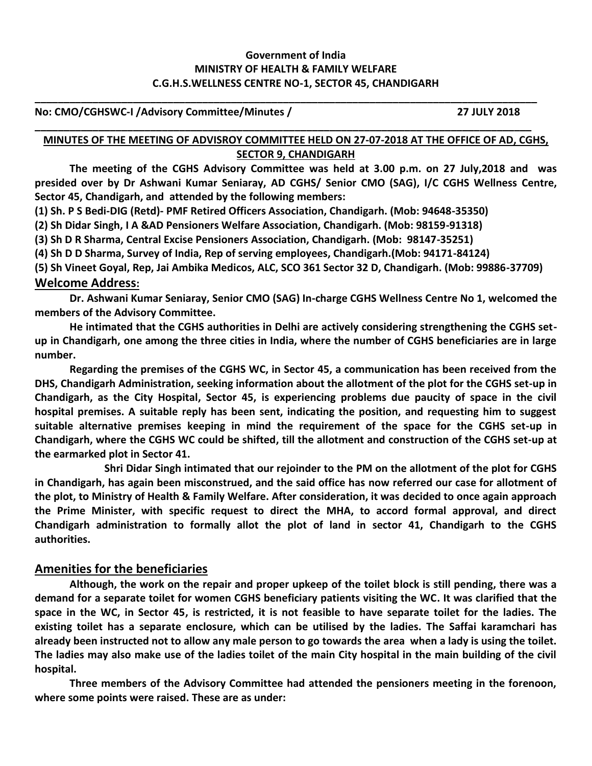## **Government of India MINISTRY OF HEALTH & FAMILY WELFARE C.G.H.S.WELLNESS CENTRE NO-1, SECTOR 45, CHANDIGARH**

**\_\_\_\_\_\_\_\_\_\_\_\_\_\_\_\_\_\_\_\_\_\_\_\_\_\_\_\_\_\_\_\_\_\_\_\_\_\_\_\_\_\_\_\_\_\_\_\_\_\_\_\_\_\_\_\_\_\_\_\_\_\_\_\_\_\_\_\_\_\_\_\_\_\_\_\_\_\_\_\_\_\_\_\_\_\_\_**

**\_\_\_\_\_\_\_\_\_\_\_\_\_\_\_\_\_\_\_\_\_\_\_\_\_\_\_\_\_\_\_\_\_\_\_\_\_\_\_\_\_\_\_\_\_\_\_\_\_\_\_\_\_\_\_\_\_\_\_\_\_\_\_\_\_\_\_\_\_\_\_\_\_\_\_\_\_\_\_\_\_\_\_\_\_\_**

#### **No: CMO/CGHSWC-I /Advisory Committee/Minutes / 27 JULY 2018**

#### **MINUTES OF THE MEETING OF ADVISROY COMMITTEE HELD ON 27-07-2018 AT THE OFFICE OF AD, CGHS, SECTOR 9, CHANDIGARH**

**The meeting of the CGHS Advisory Committee was held at 3.00 p.m. on 27 July,2018 and was presided over by Dr Ashwani Kumar Seniaray, AD CGHS/ Senior CMO (SAG), I/C CGHS Wellness Centre, Sector 45, Chandigarh, and attended by the following members:**

**(1) Sh. P S Bedi-DIG (Retd)- PMF Retired Officers Association, Chandigarh. (Mob: 94648-35350)**

**(2) Sh Didar Singh, I A &AD Pensioners Welfare Association, Chandigarh. (Mob: 98159-91318)**

**(3) Sh D R Sharma, Central Excise Pensioners Association, Chandigarh. (Mob: 98147-35251)**

**(4) Sh D D Sharma, Survey of India, Rep of serving employees, Chandigarh.(Mob: 94171-84124)**

**(5) Sh Vineet Goyal, Rep, Jai Ambika Medicos, ALC, SCO 361 Sector 32 D, Chandigarh. (Mob: 99886-37709) Welcome Address:**

**Dr. Ashwani Kumar Seniaray, Senior CMO (SAG) In-charge CGHS Wellness Centre No 1, welcomed the members of the Advisory Committee.** 

**He intimated that the CGHS authorities in Delhi are actively considering strengthening the CGHS setup in Chandigarh, one among the three cities in India, where the number of CGHS beneficiaries are in large number.** 

**Regarding the premises of the CGHS WC, in Sector 45, a communication has been received from the DHS, Chandigarh Administration, seeking information about the allotment of the plot for the CGHS set-up in Chandigarh, as the City Hospital, Sector 45, is experiencing problems due paucity of space in the civil hospital premises. A suitable reply has been sent, indicating the position, and requesting him to suggest suitable alternative premises keeping in mind the requirement of the space for the CGHS set-up in Chandigarh, where the CGHS WC could be shifted, till the allotment and construction of the CGHS set-up at the earmarked plot in Sector 41.**

**Shri Didar Singh intimated that our rejoinder to the PM on the allotment of the plot for CGHS in Chandigarh, has again been misconstrued, and the said office has now referred our case for allotment of the plot, to Ministry of Health & Family Welfare. After consideration, it was decided to once again approach the Prime Minister, with specific request to direct the MHA, to accord formal approval, and direct Chandigarh administration to formally allot the plot of land in sector 41, Chandigarh to the CGHS authorities.**

## **Amenities for the beneficiaries**

**Although, the work on the repair and proper upkeep of the toilet block is still pending, there was a demand for a separate toilet for women CGHS beneficiary patients visiting the WC. It was clarified that the space in the WC, in Sector 45, is restricted, it is not feasible to have separate toilet for the ladies. The existing toilet has a separate enclosure, which can be utilised by the ladies. The Saffai karamchari has already been instructed not to allow any male person to go towards the area when a lady is using the toilet. The ladies may also make use of the ladies toilet of the main City hospital in the main building of the civil hospital.**

**Three members of the Advisory Committee had attended the pensioners meeting in the forenoon, where some points were raised. These are as under:**